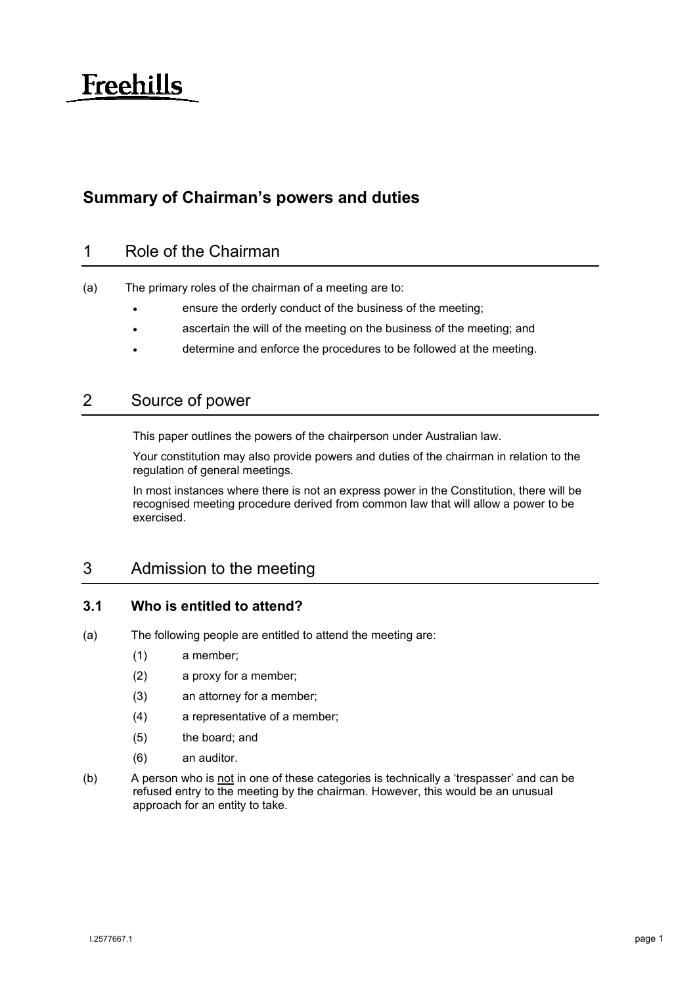# **Freehills**

## **Summary of Chairman's powers and duties**

## 1 Role of the Chairman

- (a) The primary roles of the chairman of a meeting are to:
	- ensure the orderly conduct of the business of the meeting;
	- ascertain the will of the meeting on the business of the meeting; and
	- determine and enforce the procedures to be followed at the meeting.

#### 2 Source of power

This paper outlines the powers of the chairperson under Australian law.

Your constitution may also provide powers and duties of the chairman in relation to the regulation of general meetings.

In most instances where there is not an express power in the Constitution, there will be recognised meeting procedure derived from common law that will allow a power to be exercised.

## 3 Admission to the meeting

#### **3.1 Who is entitled to attend?**

- (a) The following people are entitled to attend the meeting are:
	- (1) a member;
	- (2) a proxy for a member;
	- (3) an attorney for a member;
	- (4) a representative of a member;
	- (5) the board; and
	- (6) an auditor.
- (b) A person who is not in one of these categories is technically a 'trespasser' and can be refused entry to the meeting by the chairman. However, this would be an unusual approach for an entity to take.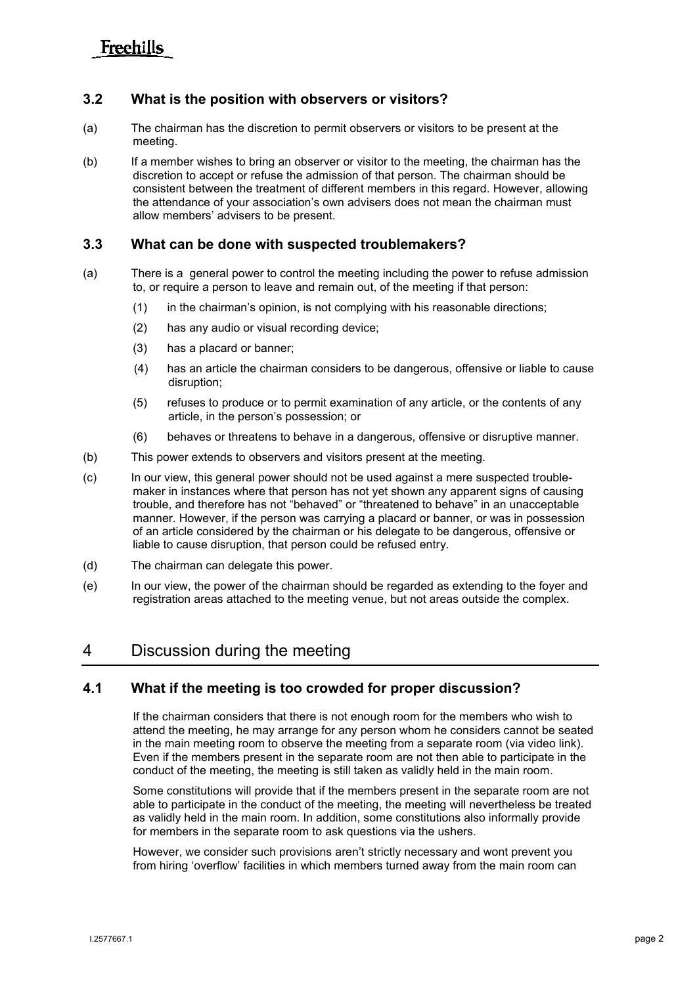# **Freehills**

#### **3.2 What is the position with observers or visitors?**

- (a) The chairman has the discretion to permit observers or visitors to be present at the meeting.
- (b) If a member wishes to bring an observer or visitor to the meeting, the chairman has the discretion to accept or refuse the admission of that person. The chairman should be consistent between the treatment of different members in this regard. However, allowing the attendance of your association's own advisers does not mean the chairman must allow members' advisers to be present.

#### **3.3 What can be done with suspected troublemakers?**

- (a) There is a general power to control the meeting including the power to refuse admission to, or require a person to leave and remain out, of the meeting if that person:
	- (1) in the chairman's opinion, is not complying with his reasonable directions;
	- (2) has any audio or visual recording device;
	- (3) has a placard or banner;
	- (4) has an article the chairman considers to be dangerous, offensive or liable to cause disruption;
	- (5) refuses to produce or to permit examination of any article, or the contents of any article, in the person's possession; or
	- (6) behaves or threatens to behave in a dangerous, offensive or disruptive manner.
- (b) This power extends to observers and visitors present at the meeting.
- (c) In our view, this general power should not be used against a mere suspected troublemaker in instances where that person has not yet shown any apparent signs of causing trouble, and therefore has not "behaved" or "threatened to behave" in an unacceptable manner. However, if the person was carrying a placard or banner, or was in possession of an article considered by the chairman or his delegate to be dangerous, offensive or liable to cause disruption, that person could be refused entry.
- (d) The chairman can delegate this power.
- (e) In our view, the power of the chairman should be regarded as extending to the foyer and registration areas attached to the meeting venue, but not areas outside the complex.

#### 4 Discussion during the meeting

#### **4.1 What if the meeting is too crowded for proper discussion?**

If the chairman considers that there is not enough room for the members who wish to attend the meeting, he may arrange for any person whom he considers cannot be seated in the main meeting room to observe the meeting from a separate room (via video link). Even if the members present in the separate room are not then able to participate in the conduct of the meeting, the meeting is still taken as validly held in the main room.

Some constitutions will provide that if the members present in the separate room are not able to participate in the conduct of the meeting, the meeting will nevertheless be treated as validly held in the main room. In addition, some constitutions also informally provide for members in the separate room to ask questions via the ushers.

However, we consider such provisions aren't strictly necessary and wont prevent you from hiring 'overflow' facilities in which members turned away from the main room can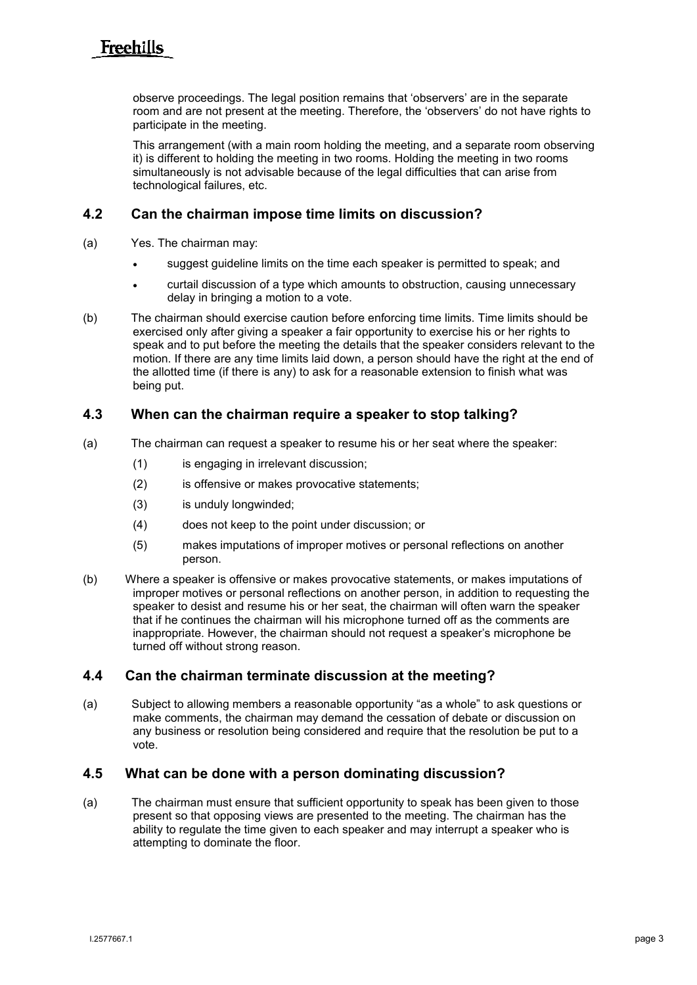observe proceedings. The legal position remains that 'observers' are in the separate room and are not present at the meeting. Therefore, the 'observers' do not have rights to participate in the meeting.

This arrangement (with a main room holding the meeting, and a separate room observing it) is different to holding the meeting in two rooms. Holding the meeting in two rooms simultaneously is not advisable because of the legal difficulties that can arise from technological failures, etc.

#### **4.2 Can the chairman impose time limits on discussion?**

- (a) Yes. The chairman may:
	- suggest quideline limits on the time each speaker is permitted to speak; and
	- curtail discussion of a type which amounts to obstruction, causing unnecessary delay in bringing a motion to a vote.
- (b) The chairman should exercise caution before enforcing time limits. Time limits should be exercised only after giving a speaker a fair opportunity to exercise his or her rights to speak and to put before the meeting the details that the speaker considers relevant to the motion. If there are any time limits laid down, a person should have the right at the end of the allotted time (if there is any) to ask for a reasonable extension to finish what was being put.

#### **4.3 When can the chairman require a speaker to stop talking?**

- (a) The chairman can request a speaker to resume his or her seat where the speaker:
	- (1) is engaging in irrelevant discussion;
	- (2) is offensive or makes provocative statements;
	- (3) is unduly longwinded;
	- (4) does not keep to the point under discussion; or
	- (5) makes imputations of improper motives or personal reflections on another person.
- (b) Where a speaker is offensive or makes provocative statements, or makes imputations of improper motives or personal reflections on another person, in addition to requesting the speaker to desist and resume his or her seat, the chairman will often warn the speaker that if he continues the chairman will his microphone turned off as the comments are inappropriate. However, the chairman should not request a speaker's microphone be turned off without strong reason.

#### **4.4 Can the chairman terminate discussion at the meeting?**

(a) Subject to allowing members a reasonable opportunity "as a whole" to ask questions or make comments, the chairman may demand the cessation of debate or discussion on any business or resolution being considered and require that the resolution be put to a vote.

#### **4.5 What can be done with a person dominating discussion?**

(a) The chairman must ensure that sufficient opportunity to speak has been given to those present so that opposing views are presented to the meeting. The chairman has the ability to regulate the time given to each speaker and may interrupt a speaker who is attempting to dominate the floor.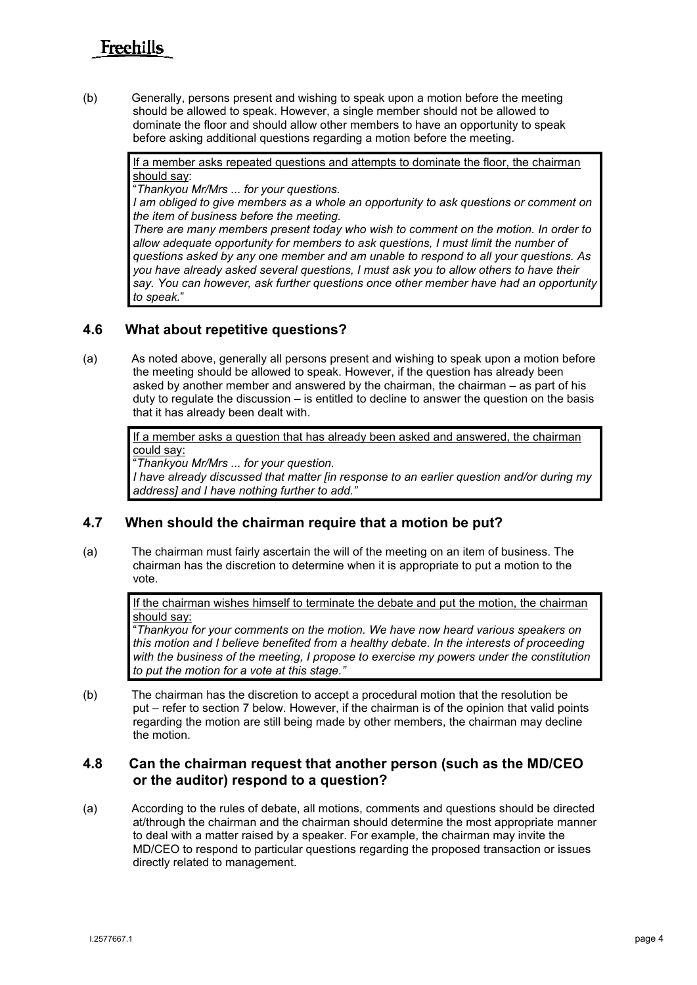(b) Generally, persons present and wishing to speak upon a motion before the meeting should be allowed to speak. However, a single member should not be allowed to dominate the floor and should allow other members to have an opportunity to speak before asking additional questions regarding a motion before the meeting.

> If a member asks repeated questions and attempts to dominate the floor, the chairman should say:

"*Thankyou Mr/Mrs ... for your questions.* 

*I* am obliged to give members as a whole an opportunity to ask questions or comment on *the item of business before the meeting.* 

*There are many members present today who wish to comment on the motion. In order to allow adequate opportunity for members to ask questions, I must limit the number of questions asked by any one member and am unable to respond to all your questions. As you have already asked several questions, I must ask you to allow others to have their say. You can however, ask further questions once other member have had an opportunity to speak.*"

#### **4.6 What about repetitive questions?**

(a) As noted above, generally all persons present and wishing to speak upon a motion before the meeting should be allowed to speak. However, if the question has already been asked by another member and answered by the chairman, the chairman – as part of his duty to regulate the discussion – is entitled to decline to answer the question on the basis that it has already been dealt with.

If a member asks a question that has already been asked and answered, the chairman could say:

"*Thankyou Mr/Mrs ... for your question.* 

*I have already discussed that matter [in response to an earlier question and/or during my address] and I have nothing further to add."*

#### **4.7 When should the chairman require that a motion be put?**

(a) The chairman must fairly ascertain the will of the meeting on an item of business. The chairman has the discretion to determine when it is appropriate to put a motion to the vote.

> If the chairman wishes himself to terminate the debate and put the motion, the chairman should say:

> "*Thankyou for your comments on the motion. We have now heard various speakers on this motion and I believe benefited from a healthy debate. In the interests of proceeding with the business of the meeting, I propose to exercise my powers under the constitution to put the motion for a vote at this stage."*

(b) The chairman has the discretion to accept a procedural motion that the resolution be put – refer to section 7 below. However, if the chairman is of the opinion that valid points regarding the motion are still being made by other members, the chairman may decline the motion.

#### **4.8 Can the chairman request that another person (such as the MD/CEO or the auditor) respond to a question?**

(a) According to the rules of debate, all motions, comments and questions should be directed at/through the chairman and the chairman should determine the most appropriate manner to deal with a matter raised by a speaker. For example, the chairman may invite the MD/CEO to respond to particular questions regarding the proposed transaction or issues directly related to management.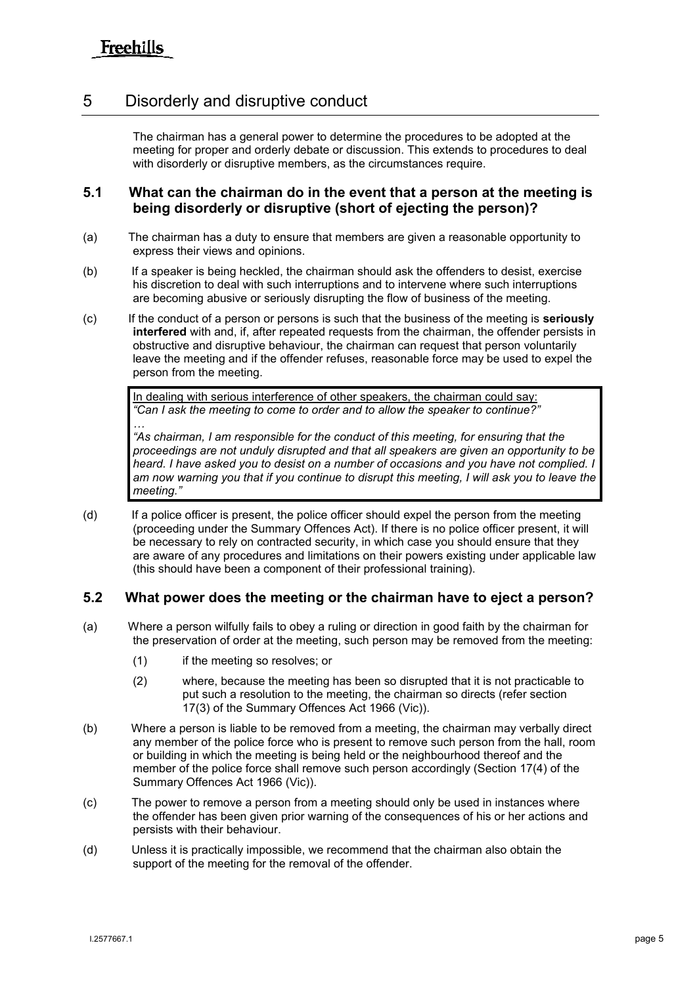## 5 Disorderly and disruptive conduct

The chairman has a general power to determine the procedures to be adopted at the meeting for proper and orderly debate or discussion. This extends to procedures to deal with disorderly or disruptive members, as the circumstances require.

#### **5.1 What can the chairman do in the event that a person at the meeting is being disorderly or disruptive (short of ejecting the person)?**

- (a) The chairman has a duty to ensure that members are given a reasonable opportunity to express their views and opinions.
- (b) If a speaker is being heckled, the chairman should ask the offenders to desist, exercise his discretion to deal with such interruptions and to intervene where such interruptions are becoming abusive or seriously disrupting the flow of business of the meeting.
- (c) If the conduct of a person or persons is such that the business of the meeting is **seriously interfered** with and, if, after repeated requests from the chairman, the offender persists in obstructive and disruptive behaviour, the chairman can request that person voluntarily leave the meeting and if the offender refuses, reasonable force may be used to expel the person from the meeting.

In dealing with serious interference of other speakers, the chairman could say: *"Can I ask the meeting to come to order and to allow the speaker to continue?"*

*… "As chairman, I am responsible for the conduct of this meeting, for ensuring that the proceedings are not unduly disrupted and that all speakers are given an opportunity to be*  heard. I have asked you to desist on a number of occasions and you have not complied. I *am now warning you that if you continue to disrupt this meeting, I will ask you to leave the meeting."*

(d) If a police officer is present, the police officer should expel the person from the meeting (proceeding under the Summary Offences Act). If there is no police officer present, it will be necessary to rely on contracted security, in which case you should ensure that they are aware of any procedures and limitations on their powers existing under applicable law (this should have been a component of their professional training).

#### **5.2 What power does the meeting or the chairman have to eject a person?**

- (a) Where a person wilfully fails to obey a ruling or direction in good faith by the chairman for the preservation of order at the meeting, such person may be removed from the meeting:
	- (1) if the meeting so resolves; or
	- (2) where, because the meeting has been so disrupted that it is not practicable to put such a resolution to the meeting, the chairman so directs (refer section 17(3) of the Summary Offences Act 1966 (Vic)).
- (b) Where a person is liable to be removed from a meeting, the chairman may verbally direct any member of the police force who is present to remove such person from the hall, room or building in which the meeting is being held or the neighbourhood thereof and the member of the police force shall remove such person accordingly (Section 17(4) of the Summary Offences Act 1966 (Vic)).
- (c) The power to remove a person from a meeting should only be used in instances where the offender has been given prior warning of the consequences of his or her actions and persists with their behaviour.
- (d) Unless it is practically impossible, we recommend that the chairman also obtain the support of the meeting for the removal of the offender.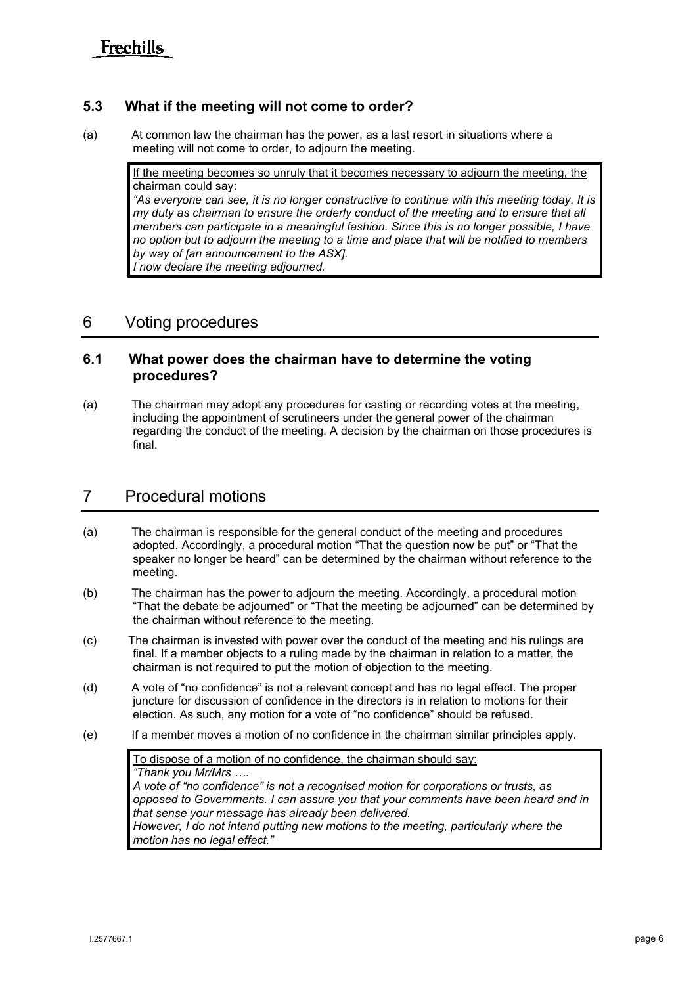#### **5.3 What if the meeting will not come to order?**

(a) At common law the chairman has the power, as a last resort in situations where a meeting will not come to order, to adjourn the meeting.

> If the meeting becomes so unruly that it becomes necessary to adjourn the meeting, the chairman could say:

*"As everyone can see, it is no longer constructive to continue with this meeting today. It is my duty as chairman to ensure the orderly conduct of the meeting and to ensure that all members can participate in a meaningful fashion. Since this is no longer possible, I have no option but to adjourn the meeting to a time and place that will be notified to members by way of [an announcement to the ASX]. I now declare the meeting adjourned.*

## 6 Voting procedures

#### **6.1 What power does the chairman have to determine the voting procedures?**

(a) The chairman may adopt any procedures for casting or recording votes at the meeting, including the appointment of scrutineers under the general power of the chairman regarding the conduct of the meeting. A decision by the chairman on those procedures is final.

## 7 Procedural motions

- (a) The chairman is responsible for the general conduct of the meeting and procedures adopted. Accordingly, a procedural motion "That the question now be put" or "That the speaker no longer be heard" can be determined by the chairman without reference to the meeting.
- (b) The chairman has the power to adjourn the meeting. Accordingly, a procedural motion "That the debate be adjourned" or "That the meeting be adjourned" can be determined by the chairman without reference to the meeting.
- (c) The chairman is invested with power over the conduct of the meeting and his rulings are final. If a member objects to a ruling made by the chairman in relation to a matter, the chairman is not required to put the motion of objection to the meeting.
- (d) A vote of "no confidence" is not a relevant concept and has no legal effect. The proper juncture for discussion of confidence in the directors is in relation to motions for their election. As such, any motion for a vote of "no confidence" should be refused.
- (e) If a member moves a motion of no confidence in the chairman similar principles apply.

To dispose of a motion of no confidence, the chairman should say: *"Thank you Mr/Mrs …. A vote of "no confidence" is not a recognised motion for corporations or trusts, as opposed to Governments. I can assure you that your comments have been heard and in that sense your message has already been delivered. However, I do not intend putting new motions to the meeting, particularly where the motion has no legal effect."*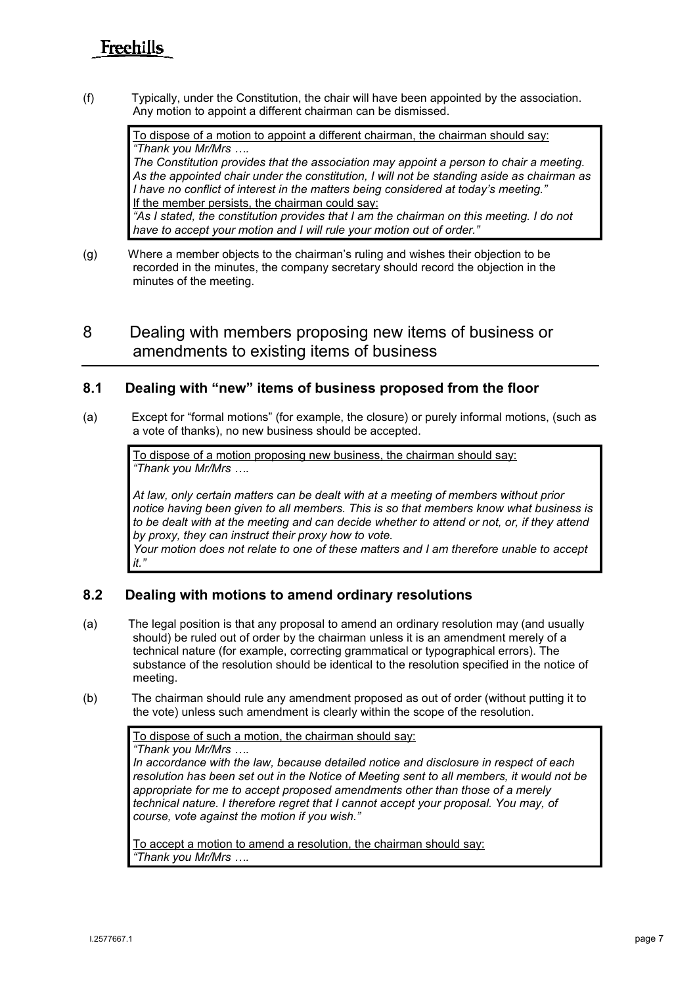(f) Typically, under the Constitution, the chair will have been appointed by the association. Any motion to appoint a different chairman can be dismissed.

To dispose of a motion to appoint a different chairman, the chairman should say: *"Thank you Mr/Mrs ….*

*The Constitution provides that the association may appoint a person to chair a meeting. As the appointed chair under the constitution, I will not be standing aside as chairman as I have no conflict of interest in the matters being considered at today's meeting."* If the member persists, the chairman could say: *"As I stated, the constitution provides that I am the chairman on this meeting. I do not have to accept your motion and I will rule your motion out of order."*

(g) Where a member objects to the chairman's ruling and wishes their objection to be recorded in the minutes, the company secretary should record the objection in the minutes of the meeting.

8 Dealing with members proposing new items of business or amendments to existing items of business

#### **8.1 Dealing with "new" items of business proposed from the floor**

(a) Except for "formal motions" (for example, the closure) or purely informal motions, (such as a vote of thanks), no new business should be accepted.

To dispose of a motion proposing new business, the chairman should say: *"Thank you Mr/Mrs ….*

*At law, only certain matters can be dealt with at a meeting of members without prior notice having been given to all members. This is so that members know what business is to be dealt with at the meeting and can decide whether to attend or not, or, if they attend by proxy, they can instruct their proxy how to vote.* 

*Your motion does not relate to one of these matters and I am therefore unable to accept it."*

#### **8.2 Dealing with motions to amend ordinary resolutions**

- (a) The legal position is that any proposal to amend an ordinary resolution may (and usually should) be ruled out of order by the chairman unless it is an amendment merely of a technical nature (for example, correcting grammatical or typographical errors). The substance of the resolution should be identical to the resolution specified in the notice of meeting.
- (b) The chairman should rule any amendment proposed as out of order (without putting it to the vote) unless such amendment is clearly within the scope of the resolution.

To dispose of such a motion, the chairman should say: *"Thank you Mr/Mrs ….*

*In accordance with the law, because detailed notice and disclosure in respect of each resolution has been set out in the Notice of Meeting sent to all members, it would not be appropriate for me to accept proposed amendments other than those of a merely technical nature. I therefore regret that I cannot accept your proposal. You may, of course, vote against the motion if you wish."*

To accept a motion to amend a resolution, the chairman should say: *"Thank you Mr/Mrs ….*